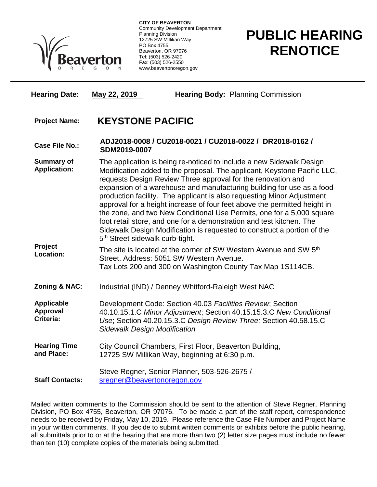

**CITY OF BEAVERTON** Community Development Department Planning Division 12725 SW Millikan Way PO Box 4755 Beaverton, OR 97076 Tel: (503) 526-2420 Fax: (503) 526-2550 www.beavertonoregon.gov

## **PUBLIC HEARING RENOTICE**

| <b>Hearing Date:</b>                       | May 22, 2019                                                                                                                                                                                                                                                                                                                                                                                                                                                                                                                                                                                                                                                                                                                | <b>Hearing Body: Planning Commission</b>                                                                                                                                                |  |
|--------------------------------------------|-----------------------------------------------------------------------------------------------------------------------------------------------------------------------------------------------------------------------------------------------------------------------------------------------------------------------------------------------------------------------------------------------------------------------------------------------------------------------------------------------------------------------------------------------------------------------------------------------------------------------------------------------------------------------------------------------------------------------------|-----------------------------------------------------------------------------------------------------------------------------------------------------------------------------------------|--|
| <b>Project Name:</b>                       | <b>KEYSTONE PACIFIC</b>                                                                                                                                                                                                                                                                                                                                                                                                                                                                                                                                                                                                                                                                                                     |                                                                                                                                                                                         |  |
| <b>Case File No.:</b>                      | ADJ2018-0008 / CU2018-0021 / CU2018-0022 / DR2018-0162 /<br>SDM2019-0007                                                                                                                                                                                                                                                                                                                                                                                                                                                                                                                                                                                                                                                    |                                                                                                                                                                                         |  |
| <b>Summary of</b><br><b>Application:</b>   | The application is being re-noticed to include a new Sidewalk Design<br>Modification added to the proposal. The applicant, Keystone Pacific LLC,<br>requests Design Review Three approval for the renovation and<br>expansion of a warehouse and manufacturing building for use as a food<br>production facility. The applicant is also requesting Minor Adjustment<br>approval for a height increase of four feet above the permitted height in<br>the zone, and two New Conditional Use Permits, one for a 5,000 square<br>foot retail store, and one for a demonstration and test kitchen. The<br>Sidewalk Design Modification is requested to construct a portion of the<br>5 <sup>th</sup> Street sidewalk curb-tight. |                                                                                                                                                                                         |  |
| Project<br>Location:                       |                                                                                                                                                                                                                                                                                                                                                                                                                                                                                                                                                                                                                                                                                                                             | The site is located at the corner of SW Western Avenue and SW 5 <sup>th</sup><br>Street. Address: 5051 SW Western Avenue.<br>Tax Lots 200 and 300 on Washington County Tax Map 1S114CB. |  |
| Zoning & NAC:                              | Industrial (IND) / Denney Whitford-Raleigh West NAC                                                                                                                                                                                                                                                                                                                                                                                                                                                                                                                                                                                                                                                                         |                                                                                                                                                                                         |  |
| <b>Applicable</b><br>Approval<br>Criteria: | Development Code: Section 40.03 Facilities Review; Section<br>40.10.15.1.C Minor Adjustment; Section 40.15.15.3.C New Conditional<br>Use; Section 40.20.15.3.C Design Review Three; Section 40.58.15.C<br><b>Sidewalk Design Modification</b>                                                                                                                                                                                                                                                                                                                                                                                                                                                                               |                                                                                                                                                                                         |  |
| <b>Hearing Time</b><br>and Place:          |                                                                                                                                                                                                                                                                                                                                                                                                                                                                                                                                                                                                                                                                                                                             | City Council Chambers, First Floor, Beaverton Building,<br>12725 SW Millikan Way, beginning at 6:30 p.m.                                                                                |  |
| <b>Staff Contacts:</b>                     | Steve Regner, Senior Planner, 503-526-2675 /<br>sregner@beavertonoregon.gov                                                                                                                                                                                                                                                                                                                                                                                                                                                                                                                                                                                                                                                 |                                                                                                                                                                                         |  |

Mailed written comments to the Commission should be sent to the attention of Steve Regner, Planning Division, PO Box 4755, Beaverton, OR 97076. To be made a part of the staff report, correspondence needs to be received by Friday, May 10, 2019. Please reference the Case File Number and Project Name in your written comments. If you decide to submit written comments or exhibits before the public hearing, all submittals prior to or at the hearing that are more than two (2) letter size pages must include no fewer than ten (10) complete copies of the materials being submitted.